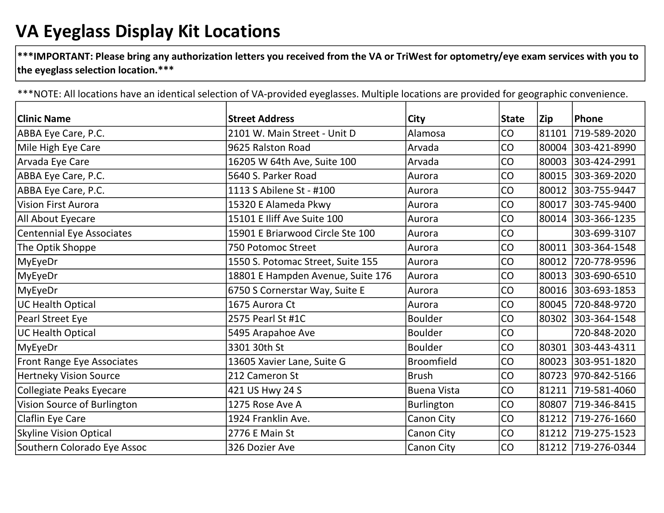## VA Eyeglass Display Kit Locations

 $|***$ IMPORTANT: Please bring any authorization letters you received from the VA or TriWest for optometry/eye exam services with you to the eyeglass selection location.\*\*\*

\*\*\*NOTE: All locations have an identical selection of VA-provided eyeglasses. Multiple locations are provided for geographic convenience.

| <b>Clinic Name</b>              | <b>Street Address</b>             | City               | <b>State</b> | Zip   | Phone              |
|---------------------------------|-----------------------------------|--------------------|--------------|-------|--------------------|
| ABBA Eye Care, P.C.             | 2101 W. Main Street - Unit D      | Alamosa            | CO           | 81101 | 719-589-2020       |
| Mile High Eye Care              | 9625 Ralston Road                 | Arvada             | CO           | 80004 | 303-421-8990       |
| Arvada Eye Care                 | 16205 W 64th Ave, Suite 100       | Arvada             | CO           | 80003 | 303-424-2991       |
| ABBA Eye Care, P.C.             | 5640 S. Parker Road               | Aurora             | CO           | 80015 | 303-369-2020       |
| ABBA Eye Care, P.C.             | 1113 S Abilene St - #100          | Aurora             | CO           | 80012 | 303-755-9447       |
| <b>Vision First Aurora</b>      | 15320 E Alameda Pkwy              | Aurora             | CO           |       | 80017 303-745-9400 |
| All About Eyecare               | 15101 E Iliff Ave Suite 100       | Aurora             | CO           | 80014 | 303-366-1235       |
| Centennial Eye Associates       | 15901 E Briarwood Circle Ste 100  | Aurora             | CO           |       | 303-699-3107       |
| The Optik Shoppe                | 750 Potomoc Street                | Aurora             | CO           | 80011 | 303-364-1548       |
| MyEyeDr                         | 1550 S. Potomac Street, Suite 155 | Aurora             | CO           | 80012 | 720-778-9596       |
| MyEyeDr                         | 18801 E Hampden Avenue, Suite 176 | Aurora             | CO           | 80013 | 303-690-6510       |
| MyEyeDr                         | 6750 S Cornerstar Way, Suite E    | Aurora             | CO           | 80016 | 303-693-1853       |
| <b>UC Health Optical</b>        | 1675 Aurora Ct                    | Aurora             | CO           | 80045 | 720-848-9720       |
| Pearl Street Eye                | 2575 Pearl St #1C                 | <b>Boulder</b>     | CO           | 80302 | 303-364-1548       |
| <b>UC Health Optical</b>        | 5495 Arapahoe Ave                 | <b>Boulder</b>     | CO           |       | 720-848-2020       |
| MyEyeDr                         | 3301 30th St                      | <b>Boulder</b>     | CO           | 80301 | 303-443-4311       |
| Front Range Eye Associates      | 13605 Xavier Lane, Suite G        | <b>Broomfield</b>  | CO           | 80023 | 303-951-1820       |
| <b>Hertneky Vision Source</b>   | 212 Cameron St                    | <b>Brush</b>       | CO           |       | 80723 970-842-5166 |
| <b>Collegiate Peaks Eyecare</b> | 421 US Hwy 24 S                   | <b>Buena Vista</b> | CO           | 81211 | 719-581-4060       |
| Vision Source of Burlington     | 1275 Rose Ave A                   | Burlington         | CO           | 80807 | 719-346-8415       |
| Claflin Eye Care                | 1924 Franklin Ave.                | Canon City         | CO           | 81212 | 719-276-1660       |
| <b>Skyline Vision Optical</b>   | 2776 E Main St                    | Canon City         | CO           | 81212 | 719-275-1523       |
| Southern Colorado Eye Assoc     | 326 Dozier Ave                    | <b>Canon City</b>  | CO           |       | 81212 719-276-0344 |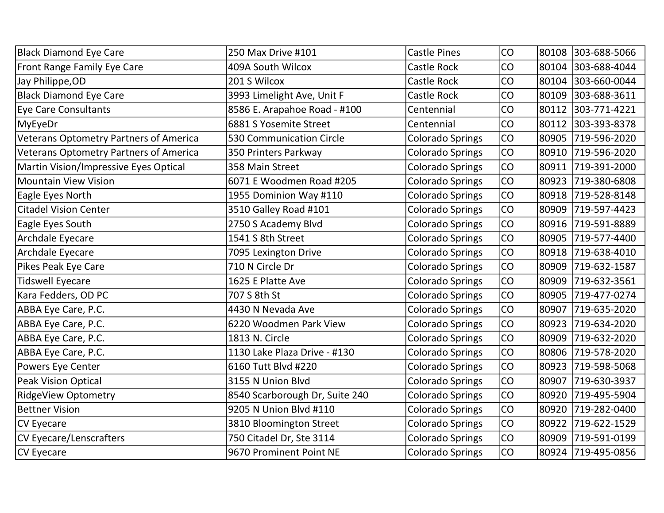| <b>Black Diamond Eye Care</b>          | 250 Max Drive #101             | <b>Castle Pines</b>     | CO        |       | 80108 303-688-5066 |
|----------------------------------------|--------------------------------|-------------------------|-----------|-------|--------------------|
| <b>Front Range Family Eye Care</b>     | 409A South Wilcox              | <b>Castle Rock</b>      | <b>CO</b> |       | 80104 303-688-4044 |
| Jay Philippe, OD                       | 201 S Wilcox                   | Castle Rock             | CO        |       | 80104 303-660-0044 |
| <b>Black Diamond Eye Care</b>          | 3993 Limelight Ave, Unit F     | <b>Castle Rock</b>      | <b>CO</b> |       | 80109 303-688-3611 |
| Eye Care Consultants                   | 8586 E. Arapahoe Road - #100   | Centennial              | CO        |       | 80112 303-771-4221 |
| MyEyeDr                                | 6881 S Yosemite Street         | Centennial              | <b>CO</b> | 80112 | 303-393-8378       |
| Veterans Optometry Partners of America | 530 Communication Circle       | <b>Colorado Springs</b> | <b>CO</b> |       | 80905 719-596-2020 |
| Veterans Optometry Partners of America | 350 Printers Parkway           | <b>Colorado Springs</b> | <b>CO</b> |       | 80910 719-596-2020 |
| Martin Vision/Impressive Eyes Optical  | 358 Main Street                | <b>Colorado Springs</b> | <b>CO</b> |       | 80911 719-391-2000 |
| <b>Mountain View Vision</b>            | 6071 E Woodmen Road #205       | <b>Colorado Springs</b> | CO        | 80923 | 719-380-6808       |
| <b>Eagle Eyes North</b>                | 1955 Dominion Way #110         | <b>Colorado Springs</b> | <b>CO</b> | 80918 | 719-528-8148       |
| <b>Citadel Vision Center</b>           | 3510 Galley Road #101          | <b>Colorado Springs</b> | <b>CO</b> |       | 80909 719-597-4423 |
| Eagle Eyes South                       | 2750 S Academy Blvd            | <b>Colorado Springs</b> | <b>CO</b> | 80916 | 719-591-8889       |
| Archdale Eyecare                       | 1541 S 8th Street              | <b>Colorado Springs</b> | <b>CO</b> |       | 80905 719-577-4400 |
| Archdale Eyecare                       | 7095 Lexington Drive           | <b>Colorado Springs</b> | <b>CO</b> |       | 80918 719-638-4010 |
| Pikes Peak Eye Care                    | 710 N Circle Dr                | <b>Colorado Springs</b> | <b>CO</b> | 80909 | 719-632-1587       |
| <b>Tidswell Eyecare</b>                | 1625 E Platte Ave              | <b>Colorado Springs</b> | <b>CO</b> | 80909 | 719-632-3561       |
| Kara Fedders, OD PC                    | 707 S 8th St                   | <b>Colorado Springs</b> | <b>CO</b> |       | 80905 719-477-0274 |
| ABBA Eye Care, P.C.                    | 4430 N Nevada Ave              | <b>Colorado Springs</b> | <b>CO</b> |       | 80907 719-635-2020 |
| ABBA Eye Care, P.C.                    | 6220 Woodmen Park View         | <b>Colorado Springs</b> | <b>CO</b> | 80923 | 719-634-2020       |
| ABBA Eye Care, P.C.                    | 1813 N. Circle                 | <b>Colorado Springs</b> | <b>CO</b> |       | 80909 719-632-2020 |
| ABBA Eye Care, P.C.                    | 1130 Lake Plaza Drive - #130   | <b>Colorado Springs</b> | <b>CO</b> |       | 80806 719-578-2020 |
| Powers Eye Center                      | 6160 Tutt Blvd #220            | <b>Colorado Springs</b> | <b>CO</b> | 80923 | 719-598-5068       |
| Peak Vision Optical                    | 3155 N Union Blvd              | <b>Colorado Springs</b> | <b>CO</b> |       | 80907 719-630-3937 |
| <b>RidgeView Optometry</b>             | 8540 Scarborough Dr, Suite 240 | <b>Colorado Springs</b> | <b>CO</b> | 80920 | 719-495-5904       |
| <b>Bettner Vision</b>                  | 9205 N Union Blvd #110         | <b>Colorado Springs</b> | <b>CO</b> |       | 80920 719-282-0400 |
| CV Eyecare                             | 3810 Bloomington Street        | <b>Colorado Springs</b> | <b>CO</b> | 80922 | 719-622-1529       |
| CV Eyecare/Lenscrafters                | 750 Citadel Dr, Ste 3114       | <b>Colorado Springs</b> | <b>CO</b> |       | 80909 719-591-0199 |
| CV Eyecare                             | 9670 Prominent Point NE        | <b>Colorado Springs</b> | <b>CO</b> |       | 80924 719-495-0856 |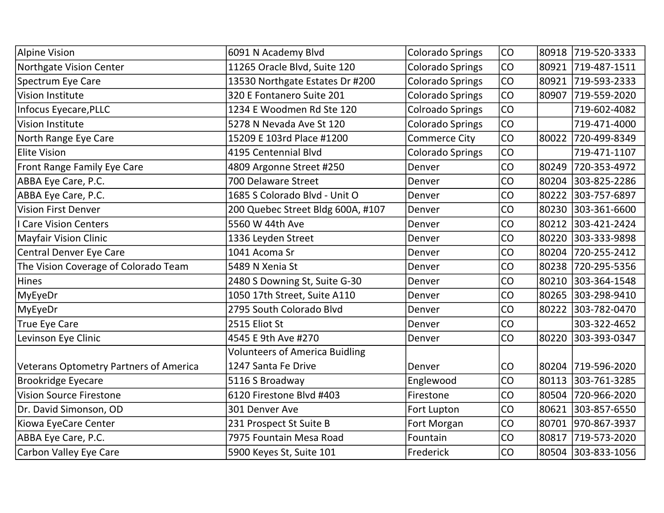| <b>Alpine Vision</b>                          | 6091 N Academy Blvd                   | <b>Colorado Springs</b> | CO |       | 80918 719-520-3333 |
|-----------------------------------------------|---------------------------------------|-------------------------|----|-------|--------------------|
| Northgate Vision Center                       | 11265 Oracle Blvd, Suite 120          | <b>Colorado Springs</b> | CO |       | 80921 719-487-1511 |
| Spectrum Eye Care                             | 13530 Northgate Estates Dr #200       | Colorado Springs        | CO | 80921 | 719-593-2333       |
| <b>Vision Institute</b>                       | 320 E Fontanero Suite 201             | Colorado Springs        | CO | 80907 | 719-559-2020       |
| Infocus Eyecare, PLLC                         | 1234 E Woodmen Rd Ste 120             | <b>Colroado Springs</b> | CO |       | 719-602-4082       |
| <b>Vision Institute</b>                       | 5278 N Nevada Ave St 120              | <b>Colorado Springs</b> | CO |       | 719-471-4000       |
| North Range Eye Care                          | 15209 E 103rd Place #1200             | <b>Commerce City</b>    | CO | 80022 | 720-499-8349       |
| <b>Elite Vision</b>                           | 4195 Centennial Blvd                  | <b>Colorado Springs</b> | CO |       | 719-471-1107       |
| Front Range Family Eye Care                   | 4809 Argonne Street #250              | Denver                  | CO | 80249 | 720-353-4972       |
| ABBA Eye Care, P.C.                           | 700 Delaware Street                   | Denver                  | CO | 80204 | 303-825-2286       |
| ABBA Eye Care, P.C.                           | 1685 S Colorado Blvd - Unit O         | Denver                  | CO | 80222 | 303-757-6897       |
| <b>Vision First Denver</b>                    | 200 Quebec Street Bldg 600A, #107     | Denver                  | CO |       | 80230 303-361-6600 |
| <b>Care Vision Centers</b>                    | 5560 W 44th Ave                       | Denver                  | CO | 80212 | 303-421-2424       |
| <b>Mayfair Vision Clinic</b>                  | 1336 Leyden Street                    | Denver                  | CO |       | 80220 303-333-9898 |
| Central Denver Eye Care                       | 1041 Acoma Sr                         | Denver                  | CO | 80204 | 720-255-2412       |
| The Vision Coverage of Colorado Team          | 5489 N Xenia St                       | Denver                  | CO | 80238 | 720-295-5356       |
| Hines                                         | 2480 S Downing St, Suite G-30         | Denver                  | CO | 80210 | 303-364-1548       |
| MyEyeDr                                       | 1050 17th Street, Suite A110          | Denver                  | CO | 80265 | 303-298-9410       |
| MyEyeDr                                       | 2795 South Colorado Blvd              | Denver                  | CO | 80222 | 303-782-0470       |
| <b>True Eye Care</b>                          | 2515 Eliot St                         | Denver                  | CO |       | 303-322-4652       |
| Levinson Eye Clinic                           | 4545 E 9th Ave #270                   | Denver                  | CO | 80220 | 303-393-0347       |
|                                               | <b>Volunteers of America Buidling</b> |                         |    |       |                    |
| <b>Veterans Optometry Partners of America</b> | 1247 Santa Fe Drive                   | Denver                  | CO | 80204 | 719-596-2020       |
| <b>Brookridge Eyecare</b>                     | 5116 S Broadway                       | Englewood               | CO | 80113 | 303-761-3285       |
| <b>Vision Source Firestone</b>                | 6120 Firestone Blvd #403              | Firestone               | CO | 80504 | 720-966-2020       |
| Dr. David Simonson, OD                        | 301 Denver Ave                        | Fort Lupton             | CO |       | 80621 303-857-6550 |
| Kiowa EyeCare Center                          | 231 Prospect St Suite B               | Fort Morgan             | CO |       | 80701 970-867-3937 |
| ABBA Eye Care, P.C.                           | 7975 Fountain Mesa Road               | Fountain                | CO | 80817 | 719-573-2020       |
| Carbon Valley Eye Care                        | 5900 Keyes St, Suite 101              | Frederick               | CO |       | 80504 303-833-1056 |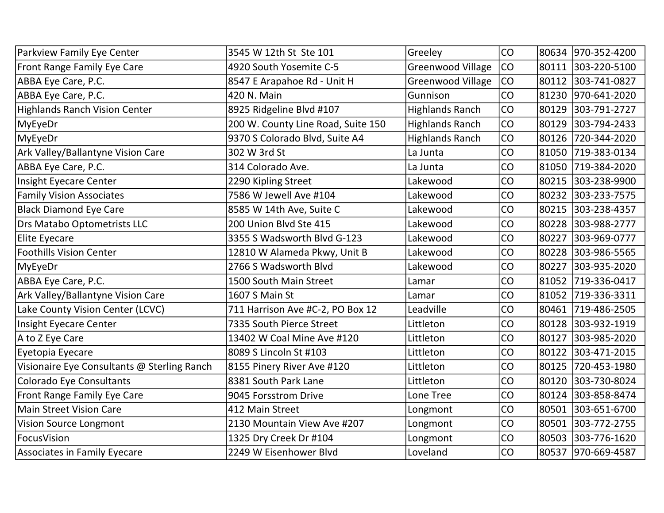| Parkview Family Eye Center                  | 3545 W 12th St Ste 101             | Greeley                  | CO |       | 80634 970-352-4200 |
|---------------------------------------------|------------------------------------|--------------------------|----|-------|--------------------|
| Front Range Family Eye Care                 | 4920 South Yosemite C-5            | <b>Greenwood Village</b> | CO |       | 80111 303-220-5100 |
| ABBA Eye Care, P.C.                         | 8547 E Arapahoe Rd - Unit H        | <b>Greenwood Village</b> | CO |       | 80112 303-741-0827 |
| ABBA Eye Care, P.C.                         | 420 N. Main                        | Gunnison                 | CO |       | 81230 970-641-2020 |
| <b>Highlands Ranch Vision Center</b>        | 8925 Ridgeline Blvd #107           | <b>Highlands Ranch</b>   | CO |       | 80129 303-791-2727 |
| MyEyeDr                                     | 200 W. County Line Road, Suite 150 | <b>Highlands Ranch</b>   | CO |       | 80129 303-794-2433 |
| MyEyeDr                                     | 9370 S Colorado Blvd, Suite A4     | <b>Highlands Ranch</b>   | CO |       | 80126 720-344-2020 |
| Ark Valley/Ballantyne Vision Care           | 302 W 3rd St                       | La Junta                 | CO |       | 81050 719-383-0134 |
| ABBA Eye Care, P.C.                         | 314 Colorado Ave.                  | La Junta                 | CO |       | 81050 719-384-2020 |
| Insight Eyecare Center                      | 2290 Kipling Street                | Lakewood                 | CO |       | 80215 303-238-9900 |
| <b>Family Vision Associates</b>             | 7586 W Jewell Ave #104             | Lakewood                 | CO |       | 80232 303-233-7575 |
| <b>Black Diamond Eye Care</b>               | 8585 W 14th Ave, Suite C           | Lakewood                 | CO |       | 80215 303-238-4357 |
| Drs Matabo Optometrists LLC                 | 200 Union Blvd Ste 415             | Lakewood                 | CO |       | 80228 303-988-2777 |
| <b>Elite Eyecare</b>                        | 3355 S Wadsworth Blvd G-123        | Lakewood                 | CO |       | 80227 303-969-0777 |
| <b>Foothills Vision Center</b>              | 12810 W Alameda Pkwy, Unit B       | Lakewood                 | CO |       | 80228 303-986-5565 |
| MyEyeDr                                     | 2766 S Wadsworth Blvd              | Lakewood                 | CO |       | 80227 303-935-2020 |
| ABBA Eye Care, P.C.                         | 1500 South Main Street             | Lamar                    | CO |       | 81052 719-336-0417 |
| Ark Valley/Ballantyne Vision Care           | 1607 S Main St                     | Lamar                    | CO |       | 81052 719-336-3311 |
| Lake County Vision Center (LCVC)            | 711 Harrison Ave #C-2, PO Box 12   | Leadville                | CO |       | 80461 719-486-2505 |
| Insight Eyecare Center                      | 7335 South Pierce Street           | Littleton                | CO |       | 80128 303-932-1919 |
| A to Z Eye Care                             | 13402 W Coal Mine Ave #120         | Littleton                | CO |       | 80127 303-985-2020 |
| Eyetopia Eyecare                            | 8089 S Lincoln St #103             | Littleton                | CO |       | 80122 303-471-2015 |
| Visionaire Eye Consultants @ Sterling Ranch | 8155 Pinery River Ave #120         | Littleton                | CO | 80125 | 720-453-1980       |
| Colorado Eye Consultants                    | 8381 South Park Lane               | Littleton                | CO |       | 80120 303-730-8024 |
| Front Range Family Eye Care                 | 9045 Forsstrom Drive               | Lone Tree                | CO |       | 80124 303-858-8474 |
| <b>Main Street Vision Care</b>              | 412 Main Street                    | Longmont                 | CO |       | 80501 303-651-6700 |
| Vision Source Longmont                      | 2130 Mountain View Ave #207        | Longmont                 | CO |       | 80501 303-772-2755 |
| FocusVision                                 | 1325 Dry Creek Dr #104             | Longmont                 | CO |       | 80503 303-776-1620 |
| Associates in Family Eyecare                | 2249 W Eisenhower Blvd             | Loveland                 | CO |       | 80537 970-669-4587 |